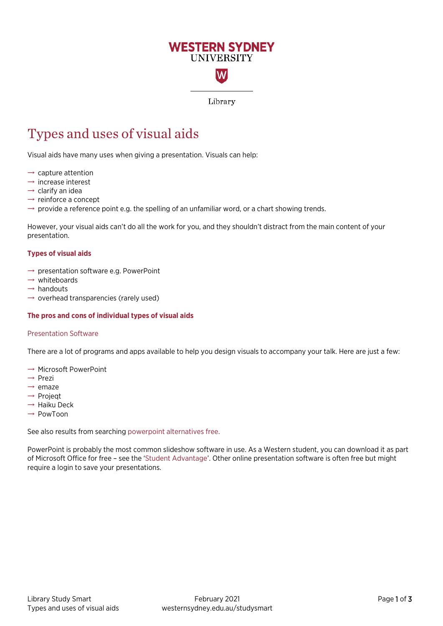# **WESTERN SYDNEY UNIVERSITY** W

Library

# Types and uses of visual aids

Visual aids have many uses when giving a presentation. Visuals can help:

- $\rightarrow$  capture attention
- $\rightarrow$  increase interest
- $\rightarrow$  clarify an idea
- $\rightarrow$  reinforce a concept
- $\rightarrow$  provide a reference point e.g. the spelling of an unfamiliar word, or a chart showing trends.

However, your visual aids can't do all the work for you, and they shouldn't distract from the main content of your presentation.

#### **Types of visual aids**

- $\rightarrow$  presentation software e.g. PowerPoint
- $\rightarrow$  whiteboards
- $\rightarrow$  handouts
- $\rightarrow$  overhead transparencies (rarely used)

### **The pros and cons of individual types of visual aids**

#### Presentation Software

There are a lot of programs and apps available to help you design visuals to accompany your talk. Here are just a few:

- $\rightarrow$  Microsoft PowerPoint
- → Prezi
- $\rightarrow$  emaze
- → Projeqt
- $\rightarrow$  Haiku Deck
- → PowToon

See also results from searching [powerpoint alternatives free.](https://www.google.com/search?q=powerpoint+alternatives+free&rlz=1C1CHBF_en-GBAU892AU892&oq=power&aqs=chrome.3.69i57j0i67j0i67i433j0i67l5.3239j0j15&sourceid=chrome&ie=UTF-8)

PowerPoint is probably the most common slideshow software in use. As a Western student, you can download it as part of Microsoft Office for free – see the ['Student Advantage'](http://www.westernsydney.edu.au/currentstudents/current_students/using_uws_online_systems/student_email/student_advantage). Other online presentation software is often free but might require a login to save your presentations.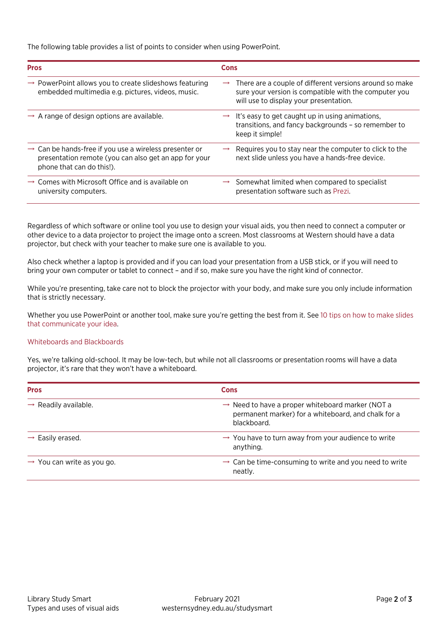The following table provides a list of points to consider when using PowerPoint.

| <b>Pros</b>                                                                                                                                              | Cons                                                                                                                                                                     |
|----------------------------------------------------------------------------------------------------------------------------------------------------------|--------------------------------------------------------------------------------------------------------------------------------------------------------------------------|
| $\rightarrow$ PowerPoint allows you to create slideshows featuring<br>embedded multimedia e.g. pictures, videos, music.                                  | $\rightarrow$ There are a couple of different versions around so make<br>sure your version is compatible with the computer you<br>will use to display your presentation. |
| $\rightarrow$ A range of design options are available.                                                                                                   | It's easy to get caught up in using animations,<br>transitions, and fancy backgrounds - so remember to<br>keep it simple!                                                |
| $\rightarrow$ Can be hands-free if you use a wireless presenter or<br>presentation remote (you can also get an app for your<br>phone that can do this!). | Requires you to stay near the computer to click to the<br>next slide unless you have a hands-free device.                                                                |
| $\rightarrow$ Comes with Microsoft Office and is available on<br>university computers.                                                                   | $\rightarrow$ Somewhat limited when compared to specialist<br>presentation software such as Prezi.                                                                       |

Regardless of which software or online tool you use to design your visual aids, you then need to connect a computer or other device to a data projector to project the image onto a screen. Most classrooms at Western should have a data projector, but check with your teacher to make sure one is available to you.

Also check whether a laptop is provided and if you can load your presentation from a USB stick, or if you will need to bring your own computer or tablet to connect – and if so, make sure you have the right kind of connector.

While you're presenting, take care not to block the projector with your body, and make sure you only include information that is strictly necessary.

Whether you use PowerPoint or another tool, make sure you're getting the best from it. See [10 tips on how to make slides](http://blog.ted.com/10-tips-for-better-slide-decks/)  [that communicate your idea.](http://blog.ted.com/10-tips-for-better-slide-decks/) 

## Whiteboards and Blackboards

Yes, we're talking old-school. It may be low-tech, but while not all classrooms or presentation rooms will have a data projector, it's rare that they won't have a whiteboard.

| <b>Pros</b>                            | Cons                                                                                                                               |
|----------------------------------------|------------------------------------------------------------------------------------------------------------------------------------|
| $\rightarrow$ Readily available.       | $\rightarrow$ Need to have a proper whiteboard marker (NOT a<br>permanent marker) for a whiteboard, and chalk for a<br>blackboard. |
| $\rightarrow$ Easily erased.           | $\rightarrow$ You have to turn away from your audience to write<br>anything.                                                       |
| $\rightarrow$ You can write as you go. | $\rightarrow$ Can be time-consuming to write and you need to write<br>neatly.                                                      |